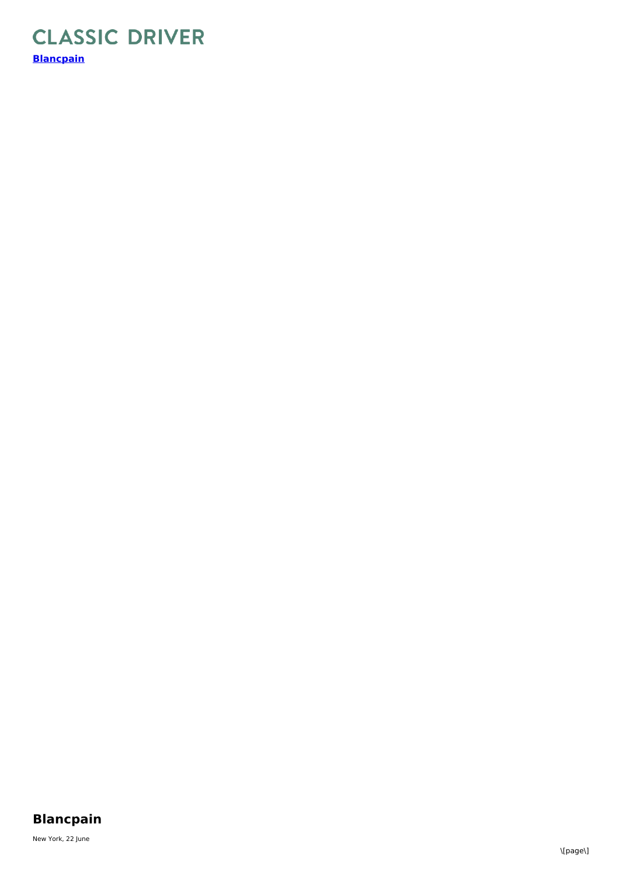## **CLASSIC DRIVER [Blancpain](https://www.classicdriver.com/en/watch/blancpain/1111/465263)**

## **Blancpain**

New York, 22 June